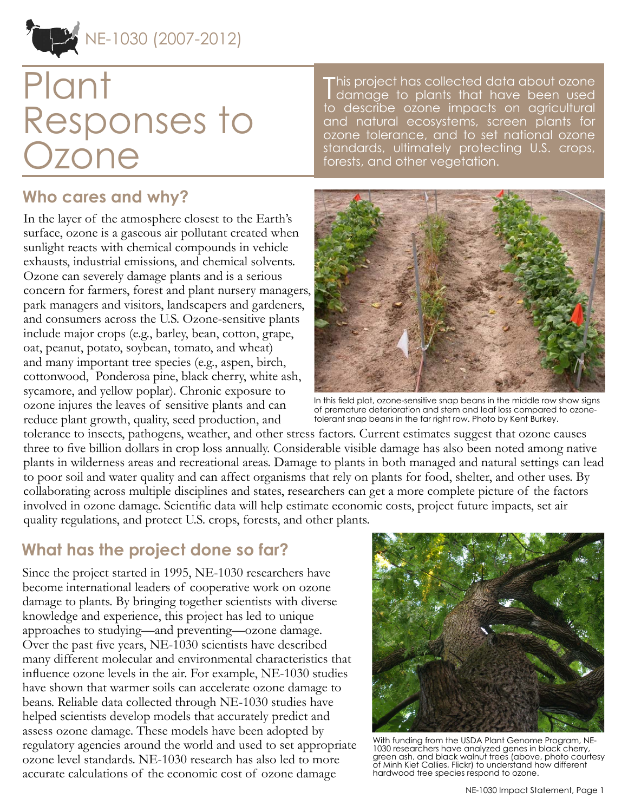## NE-1030 (2007-2012)

# Plant Responses to Ozone

#### **Who cares and why?**

In the layer of the atmosphere closest to the Earth's surface, ozone is a gaseous air pollutant created when sunlight reacts with chemical compounds in vehicle exhausts, industrial emissions, and chemical solvents. Ozone can severely damage plants and is a serious concern for farmers, forest and plant nursery managers, park managers and visitors, landscapers and gardeners, and consumers across the U.S. Ozone-sensitive plants include major crops (e.g., barley, bean, cotton, grape, oat, peanut, potato, soybean, tomato, and wheat) and many important tree species (e.g., aspen, birch, cottonwood, Ponderosa pine, black cherry, white ash, sycamore, and yellow poplar). Chronic exposure to ozone injures the leaves of sensitive plants and can reduce plant growth, quality, seed production, and

This project has collected data about ozone<br>I damage to plants that have been used his project has collected data about ozone to describe ozone impacts on agricultural and natural ecosystems, screen plants for ozone tolerance, and to set national ozone standards, ultimately protecting U.S. crops, forests, and other vegetation.



In this field plot, ozone-sensitive snap beans in the middle row show signs of premature deterioration and stem and leaf loss compared to ozonetolerant snap beans in the far right row. Photo by Kent Burkey.

tolerance to insects, pathogens, weather, and other stress factors. Current estimates suggest that ozone causes three to five billion dollars in crop loss annually. Considerable visible damage has also been noted among native plants in wilderness areas and recreational areas. Damage to plants in both managed and natural settings can lead to poor soil and water quality and can affect organisms that rely on plants for food, shelter, and other uses. By collaborating across multiple disciplines and states, researchers can get a more complete picture of the factors involved in ozone damage. Scientific data will help estimate economic costs, project future impacts, set air quality regulations, and protect U.S. crops, forests, and other plants.

#### **What has the project done so far?**

Since the project started in 1995, NE-1030 researchers have become international leaders of cooperative work on ozone damage to plants. By bringing together scientists with diverse knowledge and experience, this project has led to unique approaches to studying—and preventing—ozone damage. Over the past five years, NE-1030 scientists have described many different molecular and environmental characteristics that influence ozone levels in the air. For example, NE-1030 studies have shown that warmer soils can accelerate ozone damage to beans. Reliable data collected through NE-1030 studies have helped scientists develop models that accurately predict and assess ozone damage. These models have been adopted by regulatory agencies around the world and used to set appropriate ozone level standards. NE-1030 research has also led to more accurate calculations of the economic cost of ozone damage



With funding from the USDA Plant Genome Program, NE-1030 researchers have analyzed genes in black cherry, green ash, and black walnut trees (above, photo courtesy of Minh Kiet Callies, Flickr) to understand how different hardwood tree species respond to ozone.